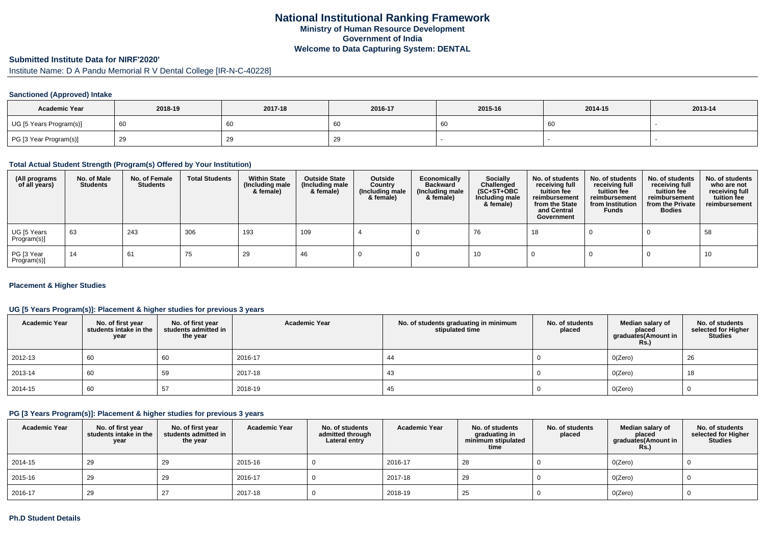### **Submitted Institute Data for NIRF'2020'**

Institute Name: D A Pandu Memorial R V Dental College [IR-N-C-40228]

#### **Sanctioned (Approved) Intake**

| <b>Academic Year</b>    | 2018-19 | 2017-18 | 2016-17   | 2015-16 | 2014-15 | 2013-14 |
|-------------------------|---------|---------|-----------|---------|---------|---------|
| UG [5 Years Program(s)] | - 60    | 60      | 'n<br>ັບເ |         | 60      |         |
| PG [3 Year Program(s)]  |         | 29      | ت ے       |         |         |         |

#### **Total Actual Student Strength (Program(s) Offered by Your Institution)**

| (All programs<br>of all years) | No. of Male<br><b>Students</b> | No. of Female<br><b>Students</b> | <b>Total Students</b> | <b>Within State</b><br>(Including male<br>& female) | <b>Outside State</b><br>(Including male<br>& female) | Outside<br>Country<br>(Including male<br>& female) | Economically<br><b>Backward</b><br>(Including male<br>& female) | <b>Socially</b><br>Challenged<br>$(SC+ST+OBC)$<br>Including male<br>& female) | No. of students<br>receiving full<br>tuition fee<br>reimbursement<br>from the State<br>and Central<br>Government | No. of students<br>receiving full<br>tuition fee<br>reimbursement<br>from Institution<br><b>Funds</b> | No. of students<br>receiving full<br>tuition fee<br>reimbursement<br>from the Private<br><b>Bodies</b> | No. of students<br>who are not<br>receiving full<br>tuition fee<br>reimbursement |
|--------------------------------|--------------------------------|----------------------------------|-----------------------|-----------------------------------------------------|------------------------------------------------------|----------------------------------------------------|-----------------------------------------------------------------|-------------------------------------------------------------------------------|------------------------------------------------------------------------------------------------------------------|-------------------------------------------------------------------------------------------------------|--------------------------------------------------------------------------------------------------------|----------------------------------------------------------------------------------|
| UG [5 Years<br>Program(s)]     | 63                             | 243                              | 306                   | 193                                                 | 109                                                  |                                                    |                                                                 | 76                                                                            | 18                                                                                                               |                                                                                                       |                                                                                                        | 58                                                                               |
| PG [3 Year<br>Program(s)]      | 14                             | 61                               | 75                    | 29                                                  | 46                                                   |                                                    |                                                                 | 10                                                                            |                                                                                                                  |                                                                                                       |                                                                                                        | 10                                                                               |

#### **Placement & Higher Studies**

## **UG [5 Years Program(s)]: Placement & higher studies for previous 3 years**

| <b>Academic Year</b> | No. of first year<br>students intake in the<br>year | No. of first year<br>students admitted in<br>the year | <b>Academic Year</b> | No. of students graduating in minimum<br>stipulated time | No. of students<br>placed | Median salary of<br>placed<br>graduates(Amount in<br><b>Rs.)</b> | No. of students<br>selected for Higher<br><b>Studies</b> |
|----------------------|-----------------------------------------------------|-------------------------------------------------------|----------------------|----------------------------------------------------------|---------------------------|------------------------------------------------------------------|----------------------------------------------------------|
| 2012-13              | 60                                                  | 60                                                    | 2016-17              | -44                                                      |                           | O(Zero)                                                          | 26                                                       |
| 2013-14              | 60                                                  | 59                                                    | 2017-18              | 43                                                       |                           | O(Zero)                                                          | 18                                                       |
| 2014-15              | 60                                                  | 57                                                    | 2018-19              | 45                                                       |                           | O(Zero)                                                          |                                                          |

### **PG [3 Years Program(s)]: Placement & higher studies for previous 3 years**

| <b>Academic Year</b> | No. of first year<br>students intake in the<br>year | No. of first year<br>students admitted in<br>the year | <b>Academic Year</b> | No. of students<br>admitted through<br>Lateral entry | <b>Academic Year</b> | No. of students<br>graduating in<br>minimum stipulated<br>time | No. of students<br>placed | Median salary of<br>placed<br>graduates(Amount in<br><b>Rs.)</b> | No. of students<br>selected for Higher<br><b>Studies</b> |
|----------------------|-----------------------------------------------------|-------------------------------------------------------|----------------------|------------------------------------------------------|----------------------|----------------------------------------------------------------|---------------------------|------------------------------------------------------------------|----------------------------------------------------------|
| 2014-15              | 29                                                  | -29                                                   | 2015-16              |                                                      | 2016-17              | 28                                                             |                           | O(Zero)                                                          |                                                          |
| 2015-16              | 29                                                  | -29                                                   | 2016-17              |                                                      | 2017-18              | 29                                                             |                           | O(Zero)                                                          |                                                          |
| 2016-17              | 29                                                  |                                                       | 2017-18              |                                                      | 2018-19              | 25                                                             |                           | O(Zero)                                                          |                                                          |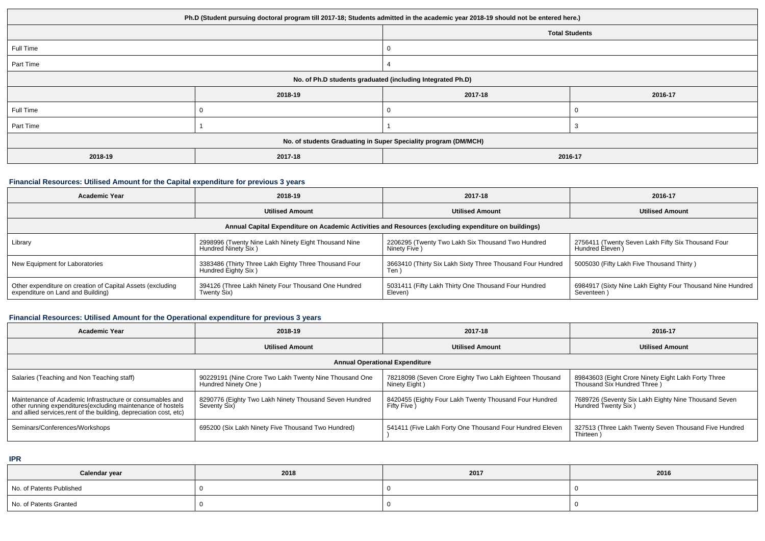|           | Ph.D (Student pursuing doctoral program till 2017-18; Students admitted in the academic year 2018-19 should not be entered here.) |                       |         |
|-----------|-----------------------------------------------------------------------------------------------------------------------------------|-----------------------|---------|
|           |                                                                                                                                   | <b>Total Students</b> |         |
| Full Time |                                                                                                                                   |                       |         |
| Part Time |                                                                                                                                   |                       |         |
|           | No. of Ph.D students graduated (including Integrated Ph.D)                                                                        |                       |         |
|           | 2018-19                                                                                                                           | 2017-18               | 2016-17 |
| Full Time |                                                                                                                                   | 0                     |         |
| Part Time |                                                                                                                                   |                       |         |
|           | No. of students Graduating in Super Speciality program (DM/MCH)                                                                   |                       |         |
| 2018-19   | 2017-18                                                                                                                           | 2016-17               |         |

### **Financial Resources: Utilised Amount for the Capital expenditure for previous 3 years**

| <b>Academic Year</b>                                                                                 | 2018-19                                                                      | 2017-18                                                             | 2016-17                                                                  |  |  |  |  |
|------------------------------------------------------------------------------------------------------|------------------------------------------------------------------------------|---------------------------------------------------------------------|--------------------------------------------------------------------------|--|--|--|--|
|                                                                                                      | <b>Utilised Amount</b>                                                       | <b>Utilised Amount</b>                                              | <b>Utilised Amount</b>                                                   |  |  |  |  |
| Annual Capital Expenditure on Academic Activities and Resources (excluding expenditure on buildings) |                                                                              |                                                                     |                                                                          |  |  |  |  |
| Library                                                                                              | 2998996 (Twenty Nine Lakh Ninety Eight Thousand Nine<br>Hundred Ninety Six)  | 2206295 (Twenty Two Lakh Six Thousand Two Hundred<br>Ninety Five)   | 2756411 (Twenty Seven Lakh Fifty Six Thousand Four<br>Hundred Eleven )   |  |  |  |  |
| New Equipment for Laboratories                                                                       | 3383486 (Thirty Three Lakh Eighty Three Thousand Four<br>Hundred Eighty Six) | 3663410 (Thirty Six Lakh Sixty Three Thousand Four Hundred<br>Ten ` | 5005030 (Fifty Lakh Five Thousand Thirty)                                |  |  |  |  |
| Other expenditure on creation of Capital Assets (excluding<br>expenditure on Land and Building)      | 394126 (Three Lakh Ninety Four Thousand One Hundred<br>Twenty Six)           | 5031411 (Fifty Lakh Thirty One Thousand Four Hundred<br>Eleven)     | 6984917 (Sixty Nine Lakh Eighty Four Thousand Nine Hundred<br>Seventeen) |  |  |  |  |

# **Financial Resources: Utilised Amount for the Operational expenditure for previous 3 years**

| <b>Academic Year</b>                                                                                                                                                                            | 2018-19                                                                       | 2017-18                                                                  | 2016-17                                                                             |  |  |  |  |  |
|-------------------------------------------------------------------------------------------------------------------------------------------------------------------------------------------------|-------------------------------------------------------------------------------|--------------------------------------------------------------------------|-------------------------------------------------------------------------------------|--|--|--|--|--|
|                                                                                                                                                                                                 | <b>Utilised Amount</b>                                                        | <b>Utilised Amount</b>                                                   | <b>Utilised Amount</b>                                                              |  |  |  |  |  |
| <b>Annual Operational Expenditure</b>                                                                                                                                                           |                                                                               |                                                                          |                                                                                     |  |  |  |  |  |
| Salaries (Teaching and Non Teaching staff)                                                                                                                                                      | 90229191 (Nine Crore Two Lakh Twenty Nine Thousand One<br>Hundred Ninety One) | 78218098 (Seven Crore Eighty Two Lakh Eighteen Thousand<br>Ninety Eight) | 89843603 (Eight Crore Ninety Eight Lakh Forty Three<br>Thousand Six Hundred Three ) |  |  |  |  |  |
| Maintenance of Academic Infrastructure or consumables and<br>other running expenditures (excluding maintenance of hostels<br>and allied services, rent of the building, depreciation cost, etc) | 8290776 (Eighty Two Lakh Ninety Thousand Seven Hundred<br>Seventy Six)        | 8420455 (Eighty Four Lakh Twenty Thousand Four Hundred<br>Fifty Five )   | 7689726 (Seventy Six Lakh Eighty Nine Thousand Seven<br>Hundred Twenty Six)         |  |  |  |  |  |
| Seminars/Conferences/Workshops                                                                                                                                                                  | 695200 (Six Lakh Ninety Five Thousand Two Hundred)                            | 541411 (Five Lakh Forty One Thousand Four Hundred Eleven                 | 327513 (Three Lakh Twenty Seven Thousand Five Hundred<br>Thirteen                   |  |  |  |  |  |

**IPR**

| Calendar year            | 2018 | 2017 | 2016 |
|--------------------------|------|------|------|
| No. of Patents Published |      |      |      |
| No. of Patents Granted   |      |      |      |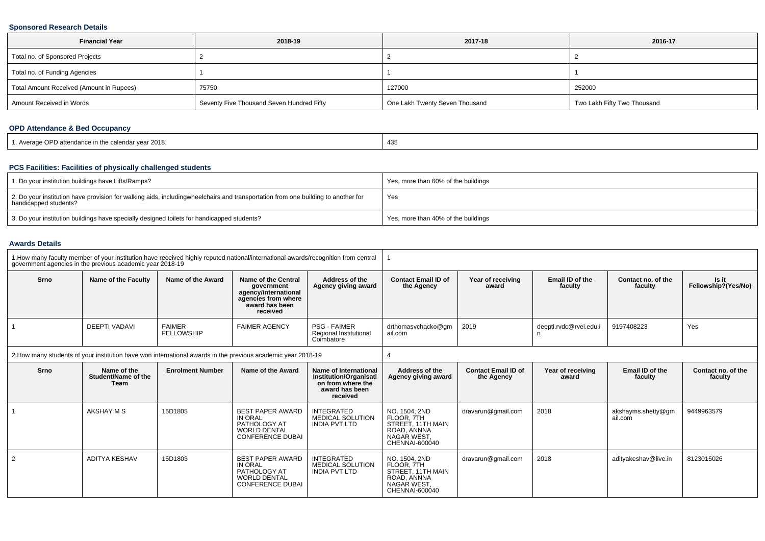## **Sponsored Research Details**

| <b>Financial Year</b>                    | 2018-19                                   | 2017-18                        | 2016-17                     |
|------------------------------------------|-------------------------------------------|--------------------------------|-----------------------------|
| Total no. of Sponsored Projects          |                                           |                                |                             |
| Total no. of Funding Agencies            |                                           |                                |                             |
| Total Amount Received (Amount in Rupees) | 75750                                     | 127000                         | 252000                      |
| Amount Received in Words                 | Seventy Five Thousand Seven Hundred Fifty | One Lakh Twenty Seven Thousand | Two Lakh Fifty Two Thousand |

# **OPD Attendance & Bed Occupancy**

| Average OPD attendance in the calendar year 2018. | 435 |
|---------------------------------------------------|-----|
|---------------------------------------------------|-----|

## **PCS Facilities: Facilities of physically challenged students**

| 1. Do your institution buildings have Lifts/Ramps?                                                                                                        | Yes, more than 60% of the buildings |
|-----------------------------------------------------------------------------------------------------------------------------------------------------------|-------------------------------------|
| 2. Do your institution have provision for walking aids, includingwheelchairs and transportation from one building to another for<br>handicapped students? | Yes                                 |
| 3. Do your institution buildings have specially designed toilets for handicapped students?                                                                | Yes, more than 40% of the buildings |

#### **Awards Details**

|                                                                                                              | government agencies in the previous academic year 2018-19 | 1. How many faculty member of your institution have received highly reputed national/international awards/recognition from central |                                                                                                                |                                                                                                           |                                                                                                        |                                          |                            |                               |                               |
|--------------------------------------------------------------------------------------------------------------|-----------------------------------------------------------|------------------------------------------------------------------------------------------------------------------------------------|----------------------------------------------------------------------------------------------------------------|-----------------------------------------------------------------------------------------------------------|--------------------------------------------------------------------------------------------------------|------------------------------------------|----------------------------|-------------------------------|-------------------------------|
| Srno                                                                                                         | Name of the Faculty                                       | Name of the Award                                                                                                                  | Name of the Central<br>government<br>agency/international<br>agencies from where<br>award has been<br>received | Address of the<br>Agency giving award                                                                     | <b>Contact Email ID of</b><br>the Agency                                                               | Year of receiving<br>award               | Email ID of the<br>faculty | Contact no. of the<br>faculty | Is it<br>Fellowship?(Yes/No)  |
|                                                                                                              | <b>DEEPTI VADAVI</b>                                      | <b>FAIMER</b><br><b>FELLOWSHIP</b>                                                                                                 | <b>FAIMER AGENCY</b>                                                                                           | <b>PSG - FAIMER</b><br>Regional Institutional<br>Coimbatore                                               | drthomasvchacko@gm<br>ail.com                                                                          | 2019                                     | deepti.rvdc@rvei.edu.i     | 9197408223                    | Yes                           |
| 2. How many students of your institution have won international awards in the previous academic year 2018-19 |                                                           |                                                                                                                                    |                                                                                                                |                                                                                                           |                                                                                                        |                                          |                            |                               |                               |
| Srno                                                                                                         | Name of the<br>Student/Name of the<br>Team                | <b>Enrolment Number</b>                                                                                                            | Name of the Award                                                                                              | Name of International<br><b>Institution/Organisati</b><br>on from where the<br>award has been<br>received | Address of the<br>Agency giving award                                                                  | <b>Contact Email ID of</b><br>the Agency | Year of receiving<br>award | Email ID of the<br>faculty    | Contact no. of the<br>faculty |
|                                                                                                              | AKSHAY M S                                                | 15D1805                                                                                                                            | <b>BEST PAPER AWARD</b><br><b>IN ORAL</b><br>PATHOLOGY AT<br><b>WORLD DENTAL</b><br><b>CONFERENCE DUBAI</b>    | <b>INTEGRATED</b><br>MEDICAL SOLUTION<br><b>INDIA PVT LTD</b>                                             | NO. 1504, 2ND<br>FLOOR, 7TH<br>STREET, 11TH MAIN<br>ROAD, ANNNA<br>NAGAR WEST,<br>CHENNAI-600040       | dravarun@gmail.com                       | 2018                       | akshayms.shetty@gm<br>ail.com | 9449963579                    |
|                                                                                                              | <b>ADITYA KESHAV</b>                                      | 15D1803                                                                                                                            | <b>BEST PAPER AWARD</b><br>IN ORAL<br>PATHOLOGY AT<br><b>WORLD DENTAL</b><br><b>CONFERENCE DUBAI</b>           | <b>INTEGRATED</b><br><b>MEDICAL SOLUTION</b><br><b>INDIA PVT LTD</b>                                      | NO. 1504, 2ND<br>FLOOR. 7TH<br>STREET. 11TH MAIN<br>ROAD, ANNNA<br><b>NAGAR WEST</b><br>CHENNAI-600040 | dravarun@gmail.com                       | 2018                       | adityakeshav@live.in          | 8123015026                    |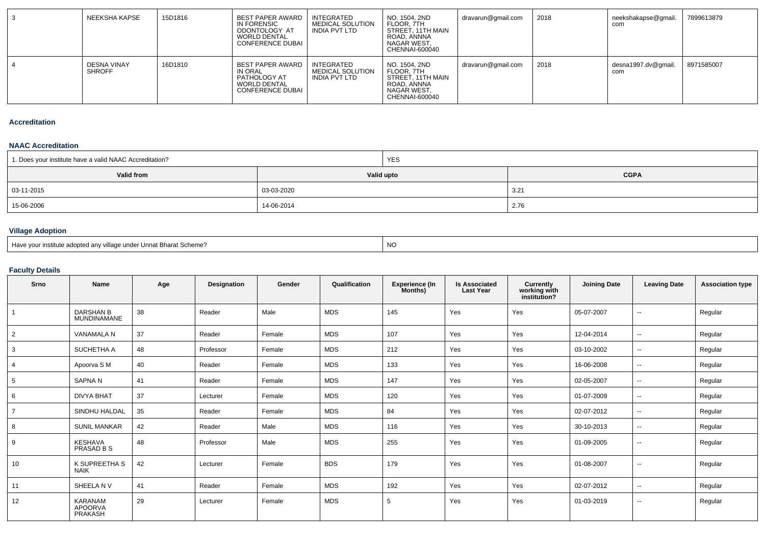| NEEKSHA KAPSE                       | 15D1816 | BEST PAPER AWARD<br>IN FORENSIC<br>ODONTOLOGY AT<br><b>WORLD DENTAL</b><br><b>CONFERENCE DUBAI</b>   | INTEGRATED<br><b>MEDICAL SOLUTION</b><br>INDIA PVT LTD | NO. 1504. 2ND<br>FLOOR, 7TH<br>STREET. 11TH MAIN<br>ROAD, ANNNA<br>NAGAR WEST,<br>CHENNAI-600040 | dravarun@gmail.com | 2018 | neekshakapse@gmail.<br>com | 7899613879 |
|-------------------------------------|---------|------------------------------------------------------------------------------------------------------|--------------------------------------------------------|--------------------------------------------------------------------------------------------------|--------------------|------|----------------------------|------------|
| <b>DESNA VINAY</b><br><b>SHROFF</b> | 16D1810 | <b>BEST PAPER AWARD</b><br>IN ORAL<br>PATHOLOGY AT<br><b>WORLD DENTAL</b><br><b>CONFERENCE DUBAL</b> | INTEGRATED<br><b>MEDICAL SOLUTION</b><br>INDIA PVT LTD | NO. 1504. 2ND<br>FLOOR, 7TH<br>STREET. 11TH MAIN<br>ROAD, ANNNA<br>NAGAR WEST.<br>CHENNAI-600040 | dravarun@gmail.com | 2018 | desna1997.dv@gmail.<br>com | 8971585007 |

#### **Accreditation**

#### **NAAC Accreditation**

| 1. Does your institute have a valid NAAC Accreditation? | <b>YES</b> |               |  |  |  |  |
|---------------------------------------------------------|------------|---------------|--|--|--|--|
| Valid from                                              | Valid upto | <b>CGPA</b>   |  |  |  |  |
| $  03 - 11 - 2015$                                      | 03-03-2020 | $3.2^{\circ}$ |  |  |  |  |
| 15-06-2006                                              | 14-06-2014 | 2.76          |  |  |  |  |

# **Village Adoption**

| Have your institute adopted any village under Unnat Bharat Scheme? |  |
|--------------------------------------------------------------------|--|
|--------------------------------------------------------------------|--|

## **Faculty Details**

| Srno | Name                                   | Age | Designation | Gender | Qualification | <b>Experience (In</b><br>Months) | <b>Is Associated</b><br><b>Last Year</b> | <b>Currently</b><br>working with<br>institution? | <b>Joining Date</b> | <b>Leaving Date</b>      | <b>Association type</b> |
|------|----------------------------------------|-----|-------------|--------|---------------|----------------------------------|------------------------------------------|--------------------------------------------------|---------------------|--------------------------|-------------------------|
|      | <b>DARSHAN B</b><br><b>MUNDINAMANE</b> | 38  | Reader      | Male   | <b>MDS</b>    | 145                              | Yes                                      | Yes                                              | 05-07-2007          | $\sim$                   | Regular                 |
| 2    | VANAMALA N                             | 37  | Reader      | Female | <b>MDS</b>    | 107                              | Yes                                      | Yes                                              | 12-04-2014          | $\overline{\phantom{a}}$ | Regular                 |
| 3    | SUCHETHA A                             | 48  | Professor   | Female | <b>MDS</b>    | 212                              | Yes                                      | Yes                                              | 03-10-2002          | $\overline{\phantom{a}}$ | Regular                 |
| 4    | Apoorva S M                            | 40  | Reader      | Female | <b>MDS</b>    | 133                              | Yes                                      | Yes                                              | 16-06-2008          | $\sim$                   | Regular                 |
| 5    | <b>SAPNAN</b>                          | 41  | Reader      | Female | <b>MDS</b>    | 147                              | Yes                                      | Yes                                              | 02-05-2007          | $\overline{\phantom{a}}$ | Regular                 |
| 6    | <b>DIVYA BHAT</b>                      | 37  | Lecturer    | Female | <b>MDS</b>    | 120                              | Yes                                      | Yes                                              | 01-07-2009          | $\overline{\phantom{a}}$ | Regular                 |
|      | SINDHU HALDAL                          | 35  | Reader      | Female | <b>MDS</b>    | 84                               | Yes                                      | Yes                                              | 02-07-2012          | $\overline{\phantom{a}}$ | Regular                 |
| 8    | <b>SUNIL MANKAR</b>                    | 42  | Reader      | Male   | <b>MDS</b>    | 116                              | Yes                                      | Yes                                              | 30-10-2013          | $\overline{\phantom{a}}$ | Regular                 |
| 9    | <b>KESHAVA</b><br>PRASAD B S           | 48  | Professor   | Male   | <b>MDS</b>    | 255                              | Yes                                      | Yes                                              | 01-09-2005          | $\sim$                   | Regular                 |
| 10   | K SUPREETHA S<br><b>NAIK</b>           | 42  | Lecturer    | Female | <b>BDS</b>    | 179                              | Yes                                      | Yes                                              | 01-08-2007          | $\overline{\phantom{a}}$ | Regular                 |
| 11   | SHEELA NV                              | 41  | Reader      | Female | <b>MDS</b>    | 192                              | Yes                                      | Yes                                              | 02-07-2012          | $\overline{\phantom{a}}$ | Regular                 |
| 12   | KARANAM<br>APOORVA<br>PRAKASH          | 29  | Lecturer    | Female | MDS           | 5                                | Yes                                      | Yes                                              | 01-03-2019          | $\overline{\phantom{a}}$ | Regular                 |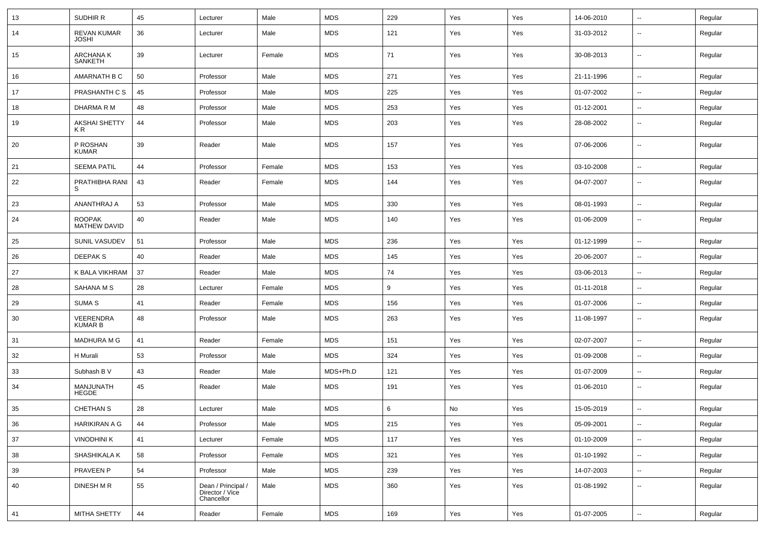| 13 | SUDHIR R                    | 45 | Lecturer                                            | Male   | <b>MDS</b> | 229 | Yes | Yes | 14-06-2010 | $\ddotsc$                | Regular |
|----|-----------------------------|----|-----------------------------------------------------|--------|------------|-----|-----|-----|------------|--------------------------|---------|
| 14 | REVAN KUMAR<br><b>JOSHI</b> | 36 | Lecturer                                            | Male   | <b>MDS</b> | 121 | Yes | Yes | 31-03-2012 | $\overline{\phantom{a}}$ | Regular |
| 15 | ARCHANA K<br>SANKETH        | 39 | Lecturer                                            | Female | <b>MDS</b> | 71  | Yes | Yes | 30-08-2013 | $\sim$                   | Regular |
| 16 | AMARNATH B C                | 50 | Professor                                           | Male   | <b>MDS</b> | 271 | Yes | Yes | 21-11-1996 | $\overline{\phantom{a}}$ | Regular |
| 17 | PRASHANTH C S               | 45 | Professor                                           | Male   | <b>MDS</b> | 225 | Yes | Yes | 01-07-2002 | ц,                       | Regular |
| 18 | DHARMA R M                  | 48 | Professor                                           | Male   | <b>MDS</b> | 253 | Yes | Yes | 01-12-2001 | $\sim$                   | Regular |
| 19 | AKSHAI SHETTY<br>KR.        | 44 | Professor                                           | Male   | <b>MDS</b> | 203 | Yes | Yes | 28-08-2002 | $\overline{\phantom{a}}$ | Regular |
| 20 | P ROSHAN<br><b>KUMAR</b>    | 39 | Reader                                              | Male   | <b>MDS</b> | 157 | Yes | Yes | 07-06-2006 | $\sim$                   | Regular |
| 21 | <b>SEEMA PATIL</b>          | 44 | Professor                                           | Female | <b>MDS</b> | 153 | Yes | Yes | 03-10-2008 | $\sim$                   | Regular |
| 22 | PRATHIBHA RANI<br>S         | 43 | Reader                                              | Female | <b>MDS</b> | 144 | Yes | Yes | 04-07-2007 | $\overline{\phantom{a}}$ | Regular |
| 23 | <b>ANANTHRAJ A</b>          | 53 | Professor                                           | Male   | <b>MDS</b> | 330 | Yes | Yes | 08-01-1993 | $\overline{\phantom{a}}$ | Regular |
| 24 | ROOPAK<br>MATHEW DAVID      | 40 | Reader                                              | Male   | <b>MDS</b> | 140 | Yes | Yes | 01-06-2009 | $\sim$                   | Regular |
| 25 | SUNIL VASUDEV               | 51 | Professor                                           | Male   | <b>MDS</b> | 236 | Yes | Yes | 01-12-1999 | $\overline{\phantom{a}}$ | Regular |
| 26 | DEEPAK S                    | 40 | Reader                                              | Male   | <b>MDS</b> | 145 | Yes | Yes | 20-06-2007 | $\sim$                   | Regular |
| 27 | K BALA VIKHRAM              | 37 | Reader                                              | Male   | <b>MDS</b> | 74  | Yes | Yes | 03-06-2013 | $\sim$                   | Regular |
| 28 | SAHANA M S                  | 28 | Lecturer                                            | Female | <b>MDS</b> | 9   | Yes | Yes | 01-11-2018 | $\ddotsc$                | Regular |
| 29 | SUMA S                      | 41 | Reader                                              | Female | <b>MDS</b> | 156 | Yes | Yes | 01-07-2006 | $\overline{\phantom{a}}$ | Regular |
| 30 | VEERENDRA<br>KUMAR B        | 48 | Professor                                           | Male   | <b>MDS</b> | 263 | Yes | Yes | 11-08-1997 |                          | Regular |
| 31 | <b>MADHURA M G</b>          | 41 | Reader                                              | Female | <b>MDS</b> | 151 | Yes | Yes | 02-07-2007 | ц,                       | Regular |
| 32 | H Murali                    | 53 | Professor                                           | Male   | <b>MDS</b> | 324 | Yes | Yes | 01-09-2008 | ц,                       | Regular |
| 33 | Subhash B V                 | 43 | Reader                                              | Male   | MDS+Ph.D   | 121 | Yes | Yes | 01-07-2009 | $\overline{\phantom{a}}$ | Regular |
| 34 | MANJUNATH<br>HEGDE          | 45 | Reader                                              | Male   | <b>MDS</b> | 191 | Yes | Yes | 01-06-2010 | $\overline{\phantom{a}}$ | Regular |
| 35 | <b>CHETHAN S</b>            | 28 | Lecturer                                            | Male   | <b>MDS</b> | 6   | No  | Yes | 15-05-2019 |                          | Regular |
| 36 | HARIKIRAN A G               | 44 | Professor                                           | Male   | <b>MDS</b> | 215 | Yes | Yes | 05-09-2001 | ц,                       | Regular |
| 37 | <b>VINODHINI K</b>          | 41 | Lecturer                                            | Female | <b>MDS</b> | 117 | Yes | Yes | 01-10-2009 | $\overline{\phantom{a}}$ | Regular |
| 38 | SHASHIKALA K                | 58 | Professor                                           | Female | <b>MDS</b> | 321 | Yes | Yes | 01-10-1992 | $\ddotsc$                | Regular |
| 39 | PRAVEEN P                   | 54 | Professor                                           | Male   | <b>MDS</b> | 239 | Yes | Yes | 14-07-2003 | $\ddotsc$                | Regular |
| 40 | DINESH M R                  | 55 | Dean / Principal /<br>Director / Vice<br>Chancellor | Male   | <b>MDS</b> | 360 | Yes | Yes | 01-08-1992 | $\ddot{\phantom{a}}$     | Regular |
| 41 | MITHA SHETTY                | 44 | Reader                                              | Female | <b>MDS</b> | 169 | Yes | Yes | 01-07-2005 | $\ddotsc$                | Regular |